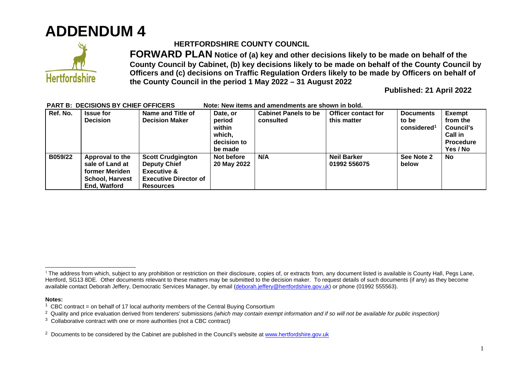



## **HERTFORDSHIRE COUNTY COUNCIL**

**FORWARD PLAN Notice of (a) key and other decisions likely to be made on behalf of the County Council by Cabinet, (b) key decisions likely to be made on behalf of the County Council by Officers and (c) decisions on Traffic Regulation Orders likely to be made by Officers on behalf of the County Council in the period 1 May 2022 – 31 August 2022** 

**Published: 21 April 2022** 

| Ref. No. | <b>Issue for</b><br><b>Decision</b>                                                            | Name and Title of<br><b>Decision Maker</b>                                                                                    | Date, or<br>period<br>within<br>which,<br>decision to<br>be made | <b>Cabinet Panels to be</b><br>consulted | <b>Officer contact for</b><br>this matter | <b>Documents</b><br>to be<br>considered <sup>1</sup> | <b>Exempt</b><br>from the<br>Council's<br><b>Call in</b><br><b>Procedure</b><br>Yes / No |
|----------|------------------------------------------------------------------------------------------------|-------------------------------------------------------------------------------------------------------------------------------|------------------------------------------------------------------|------------------------------------------|-------------------------------------------|------------------------------------------------------|------------------------------------------------------------------------------------------|
| B059/22  | Approval to the<br>sale of Land at<br>former Meriden<br><b>School, Harvest</b><br>End, Watford | <b>Scott Crudgington</b><br><b>Deputy Chief</b><br><b>Executive &amp;</b><br><b>Executive Director of</b><br><b>Resources</b> | Not before<br>20 May 2022                                        | N/A                                      | <b>Neil Barker</b><br>01992 556075        | See Note 2<br>below                                  | No                                                                                       |

## **PART B: DECISIONS BY CHIEF OFFICERS Note: New items and amendments are shown in bold.**

**Notes:** 

<sup>&</sup>lt;sup>1</sup> The address from which, subject to any prohibition or restriction on their disclosure, copies of, or extracts from, any document listed is available is County Hall, Pegs Lane, Hertford, SG13 8DE. Other documents relevant to these matters may be submitted to the decision maker. To request details of such documents (if any) as they become available contact Deborah Jeffery, Democratic Services Manager, by email [\(deborah.jeffery@hertfordshire.gov.uk\)](mailto:deborah.jeffery@hertfordshire.gov.uk) or phone (01992 555563).

<sup>&</sup>lt;sup>1</sup> CBC contract = on behalf of 17 local authority members of the Central Buying Consortium

<sup>2</sup> Quality and price evaluation derived from tenderers' submissions *(which may contain exempt information and if so will not be available for public inspection)*

 $3$  Collaborative contract with one or more authorities (not a CBC contract)

<sup>&</sup>lt;sup>2</sup> Documents to be considered by the Cabinet are published in the Council's website at [www.hertfordshire.gov.uk](http://www.hertfordshire.gov.uk/)